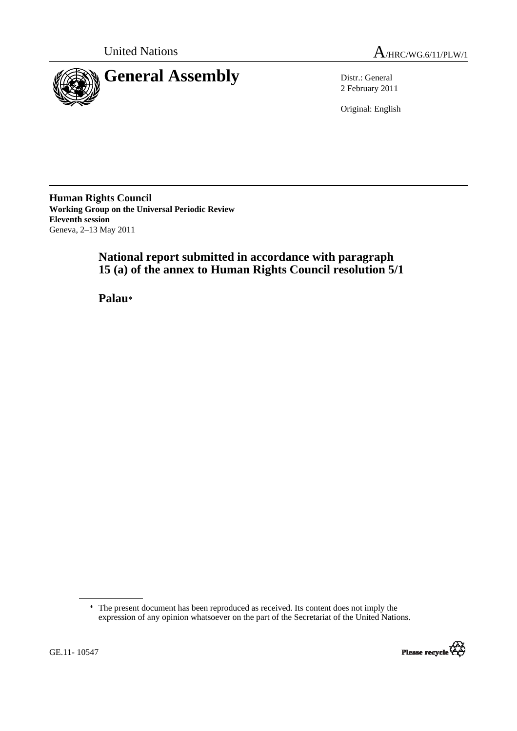



2 February 2011

Original: English

**Human Rights Council Working Group on the Universal Periodic Review Eleventh session**  Geneva, 2–13 May 2011

# **National report submitted in accordance with paragraph 15 (a) of the annex to Human Rights Council resolution 5/1**

 **Palau**\*

 <sup>\*</sup> The present document has been reproduced as received. Its content does not imply the expression of any opinion whatsoever on the part of the Secretariat of the United Nations.

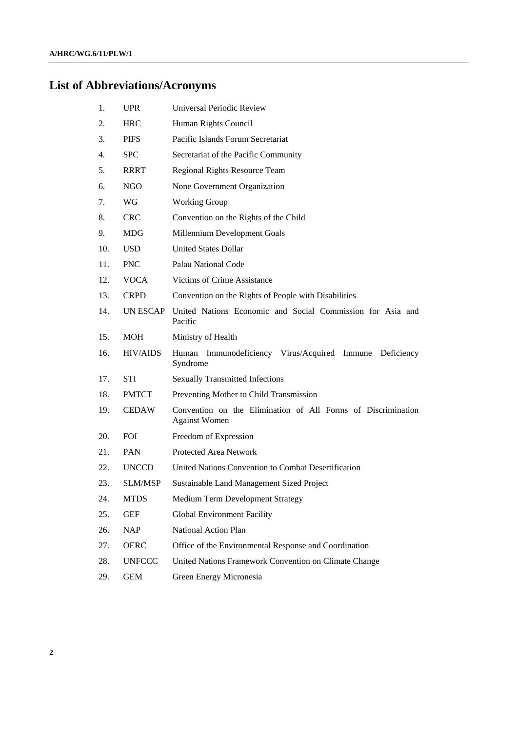# **List of Abbreviations/Acronyms**

| 1.  | <b>UPR</b>      | Universal Periodic Review                                                            |
|-----|-----------------|--------------------------------------------------------------------------------------|
| 2.  | <b>HRC</b>      | Human Rights Council                                                                 |
| 3.  | <b>PIFS</b>     | Pacific Islands Forum Secretariat                                                    |
| 4.  | <b>SPC</b>      | Secretariat of the Pacific Community                                                 |
| 5.  | <b>RRRT</b>     | Regional Rights Resource Team                                                        |
| 6.  | NGO             | None Government Organization                                                         |
| 7.  | WG              | <b>Working Group</b>                                                                 |
| 8.  | <b>CRC</b>      | Convention on the Rights of the Child                                                |
| 9.  | <b>MDG</b>      | Millennium Development Goals                                                         |
| 10. | <b>USD</b>      | <b>United States Dollar</b>                                                          |
| 11. | <b>PNC</b>      | Palau National Code                                                                  |
| 12. | <b>VOCA</b>     | Victims of Crime Assistance                                                          |
| 13. | <b>CRPD</b>     | Convention on the Rights of People with Disabilities                                 |
| 14. | UN ESCAP        | United Nations Economic and Social Commission for Asia and<br>Pacific                |
| 15. | <b>MOH</b>      | Ministry of Health                                                                   |
| 16. | <b>HIV/AIDS</b> | Human Immunodeficiency Virus/Acquired Immune Deficiency<br>Syndrome                  |
| 17. | <b>STI</b>      | <b>Sexually Transmitted Infections</b>                                               |
| 18. | <b>PMTCT</b>    | Preventing Mother to Child Transmission                                              |
| 19. | <b>CEDAW</b>    | Convention on the Elimination of All Forms of Discrimination<br><b>Against Women</b> |
| 20. | <b>FOI</b>      | Freedom of Expression                                                                |
| 21. | <b>PAN</b>      | Protected Area Network                                                               |
| 22. | <b>UNCCD</b>    | United Nations Convention to Combat Desertification                                  |
| 23. | <b>SLM/MSP</b>  | Sustainable Land Management Sized Project                                            |
| 24. | <b>MTDS</b>     | Medium Term Development Strategy                                                     |
| 25. | <b>GEF</b>      | <b>Global Environment Facility</b>                                                   |
| 26. | <b>NAP</b>      | National Action Plan                                                                 |
| 27. | <b>OERC</b>     | Office of the Environmental Response and Coordination                                |
| 28. | <b>UNFCCC</b>   | United Nations Framework Convention on Climate Change                                |
| 29. | <b>GEM</b>      | Green Energy Micronesia                                                              |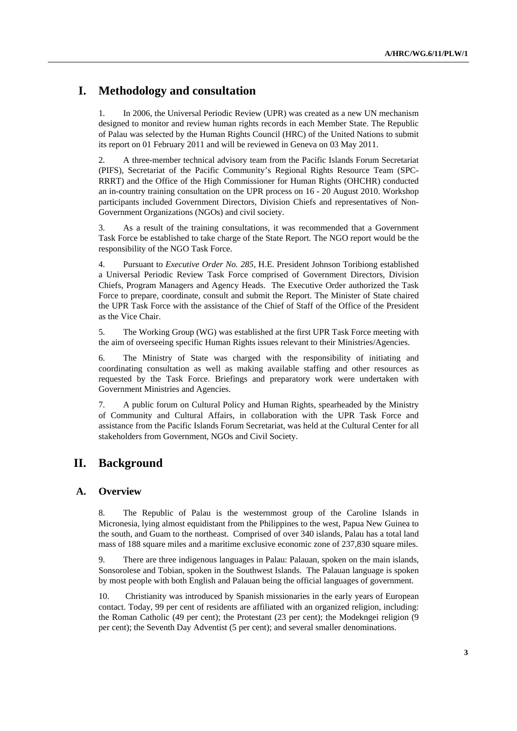# **I. Methodology and consultation**

1. In 2006, the Universal Periodic Review (UPR) was created as a new UN mechanism designed to monitor and review human rights records in each Member State. The Republic of Palau was selected by the Human Rights Council (HRC) of the United Nations to submit its report on 01 February 2011 and will be reviewed in Geneva on 03 May 2011.

2. A three-member technical advisory team from the Pacific Islands Forum Secretariat (PIFS), Secretariat of the Pacific Community's Regional Rights Resource Team (SPC-RRRT) and the Office of the High Commissioner for Human Rights (OHCHR) conducted an in-country training consultation on the UPR process on 16 - 20 August 2010. Workshop participants included Government Directors, Division Chiefs and representatives of Non-Government Organizations (NGOs) and civil society.

3. As a result of the training consultations, it was recommended that a Government Task Force be established to take charge of the State Report. The NGO report would be the responsibility of the NGO Task Force.

4. Pursuant to *Executive Order No. 285*, H.E. President Johnson Toribiong established a Universal Periodic Review Task Force comprised of Government Directors, Division Chiefs, Program Managers and Agency Heads. The Executive Order authorized the Task Force to prepare, coordinate, consult and submit the Report. The Minister of State chaired the UPR Task Force with the assistance of the Chief of Staff of the Office of the President as the Vice Chair.

5. The Working Group (WG) was established at the first UPR Task Force meeting with the aim of overseeing specific Human Rights issues relevant to their Ministries/Agencies.

6. The Ministry of State was charged with the responsibility of initiating and coordinating consultation as well as making available staffing and other resources as requested by the Task Force. Briefings and preparatory work were undertaken with Government Ministries and Agencies.

7. A public forum on Cultural Policy and Human Rights, spearheaded by the Ministry of Community and Cultural Affairs, in collaboration with the UPR Task Force and assistance from the Pacific Islands Forum Secretariat, was held at the Cultural Center for all stakeholders from Government, NGOs and Civil Society.

# **II. Background**

## **A. Overview**

8. The Republic of Palau is the westernmost group of the Caroline Islands in Micronesia, lying almost equidistant from the Philippines to the west, Papua New Guinea to the south, and Guam to the northeast. Comprised of over 340 islands, Palau has a total land mass of 188 square miles and a maritime exclusive economic zone of 237,830 square miles.

9. There are three indigenous languages in Palau: Palauan, spoken on the main islands, Sonsorolese and Tobian, spoken in the Southwest Islands. The Palauan language is spoken by most people with both English and Palauan being the official languages of government.

10. Christianity was introduced by Spanish missionaries in the early years of European contact. Today, 99 per cent of residents are affiliated with an organized religion, including: the Roman Catholic (49 per cent); the Protestant (23 per cent); the Modekngei religion (9 per cent); the Seventh Day Adventist (5 per cent); and several smaller denominations.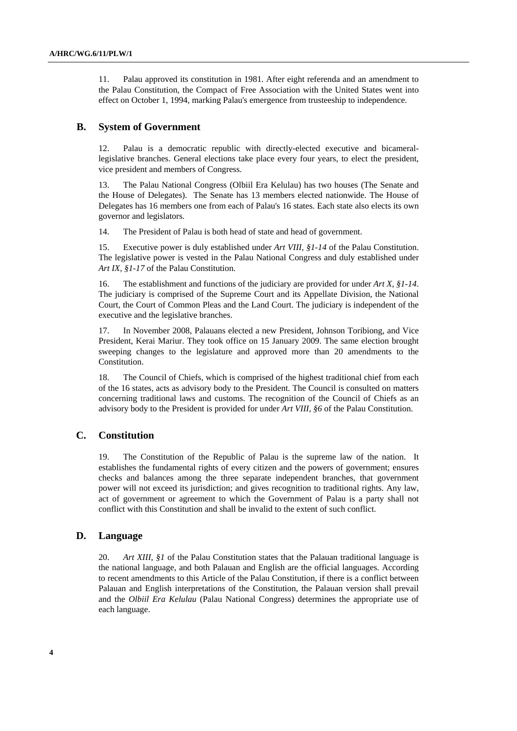11. Palau approved its constitution in 1981. After eight referenda and an amendment to the Palau Constitution, the Compact of Free Association with the United States went into effect on October 1, 1994, marking Palau's emergence from trusteeship to independence.

#### **B. System of Government**

12. Palau is a democratic republic with directly-elected executive and bicamerallegislative branches. General elections take place every four years, to elect the president, vice president and members of Congress.

13. The Palau National Congress (Olbiil Era Kelulau) has two houses (The Senate and the House of Delegates). The Senate has 13 members elected nationwide. The House of Delegates has 16 members one from each of Palau's 16 states. Each state also elects its own governor and legislators.

14. The President of Palau is both head of state and head of government.

15. Executive power is duly established under *Art VIII, §1-14* of the Palau Constitution. The legislative power is vested in the Palau National Congress and duly established under *Art IX, §1-17* of the Palau Constitution.

16. The establishment and functions of the judiciary are provided for under *Art X, §1-14*. The judiciary is comprised of the Supreme Court and its Appellate Division, the National Court, the Court of Common Pleas and the Land Court. The judiciary is independent of the executive and the legislative branches.

17. In November 2008, Palauans elected a new President, Johnson Toribiong, and Vice President, Kerai Mariur. They took office on 15 January 2009. The same election brought sweeping changes to the legislature and approved more than 20 amendments to the Constitution.

18. The Council of Chiefs, which is comprised of the highest traditional chief from each of the 16 states, acts as advisory body to the President. The Council is consulted on matters concerning traditional laws and customs. The recognition of the Council of Chiefs as an advisory body to the President is provided for under *Art VIII, §6* of the Palau Constitution.

### **C. Constitution**

19. The Constitution of the Republic of Palau is the supreme law of the nation. It establishes the fundamental rights of every citizen and the powers of government; ensures checks and balances among the three separate independent branches, that government power will not exceed its jurisdiction; and gives recognition to traditional rights. Any law, act of government or agreement to which the Government of Palau is a party shall not conflict with this Constitution and shall be invalid to the extent of such conflict.

### **D. Language**

20. *Art XIII, §1* of the Palau Constitution states that the Palauan traditional language is the national language, and both Palauan and English are the official languages. According to recent amendments to this Article of the Palau Constitution, if there is a conflict between Palauan and English interpretations of the Constitution, the Palauan version shall prevail and the *Olbiil Era Kelulau* (Palau National Congress) determines the appropriate use of each language.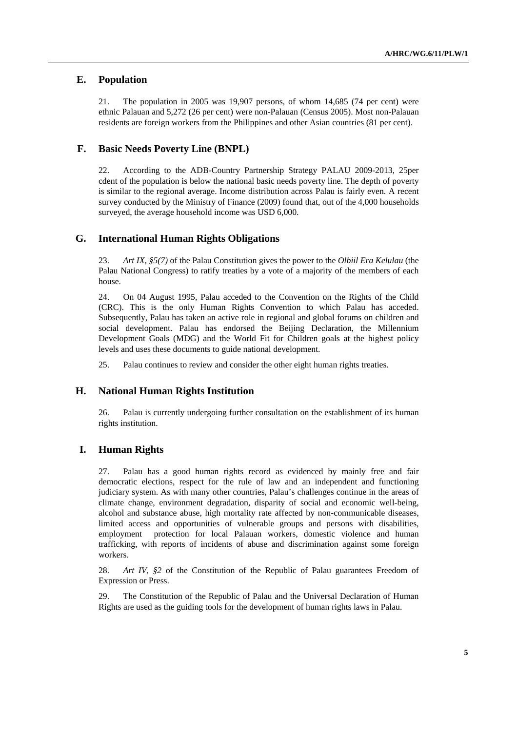#### **E. Population**

21. The population in 2005 was 19,907 persons, of whom 14,685 (74 per cent) were ethnic Palauan and 5,272 (26 per cent) were non-Palauan (Census 2005). Most non-Palauan residents are foreign workers from the Philippines and other Asian countries (81 per cent).

#### **F. Basic Needs Poverty Line (BNPL)**

22. According to the ADB-Country Partnership Strategy PALAU 2009-2013, 25per cdent of the population is below the national basic needs poverty line. The depth of poverty is similar to the regional average. Income distribution across Palau is fairly even. A recent survey conducted by the Ministry of Finance (2009) found that, out of the 4,000 households surveyed, the average household income was USD 6,000.

#### **G. International Human Rights Obligations**

23. *Art IX, §5(7)* of the Palau Constitution gives the power to the *Olbiil Era Kelulau* (the Palau National Congress) to ratify treaties by a vote of a majority of the members of each house.

24. On 04 August 1995, Palau acceded to the Convention on the Rights of the Child (CRC). This is the only Human Rights Convention to which Palau has acceded. Subsequently, Palau has taken an active role in regional and global forums on children and social development. Palau has endorsed the Beijing Declaration, the Millennium Development Goals (MDG) and the World Fit for Children goals at the highest policy levels and uses these documents to guide national development.

25. Palau continues to review and consider the other eight human rights treaties.

#### **H. National Human Rights Institution**

26. Palau is currently undergoing further consultation on the establishment of its human rights institution.

#### **I. Human Rights**

27. Palau has a good human rights record as evidenced by mainly free and fair democratic elections, respect for the rule of law and an independent and functioning judiciary system. As with many other countries, Palau's challenges continue in the areas of climate change, environment degradation, disparity of social and economic well-being, alcohol and substance abuse, high mortality rate affected by non-communicable diseases, limited access and opportunities of vulnerable groups and persons with disabilities, employment protection for local Palauan workers, domestic violence and human trafficking, with reports of incidents of abuse and discrimination against some foreign workers.

28. *Art IV, §2* of the Constitution of the Republic of Palau guarantees Freedom of Expression or Press.

29. The Constitution of the Republic of Palau and the Universal Declaration of Human Rights are used as the guiding tools for the development of human rights laws in Palau.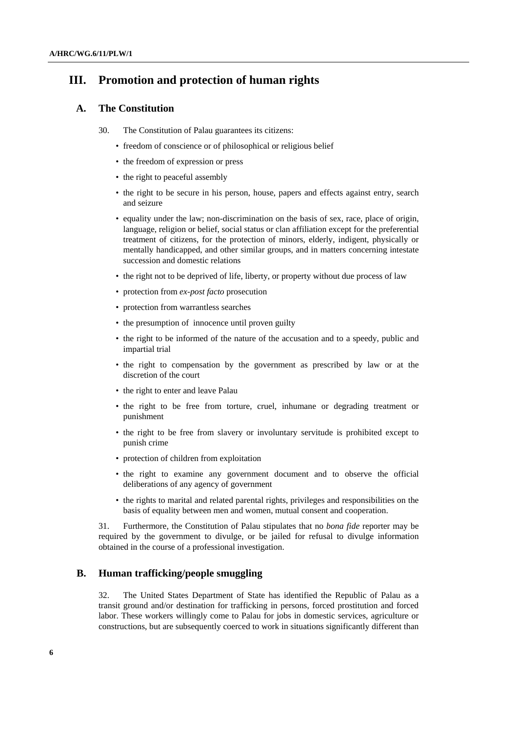# **III. Promotion and protection of human rights**

#### **A. The Constitution**

- 30. The Constitution of Palau guarantees its citizens:
	- freedom of conscience or of philosophical or religious belief
	- the freedom of expression or press
	- the right to peaceful assembly
	- the right to be secure in his person, house, papers and effects against entry, search and seizure
	- equality under the law; non-discrimination on the basis of sex, race, place of origin, language, religion or belief, social status or clan affiliation except for the preferential treatment of citizens, for the protection of minors, elderly, indigent, physically or mentally handicapped, and other similar groups, and in matters concerning intestate succession and domestic relations
	- the right not to be deprived of life, liberty, or property without due process of law
	- protection from *ex-post facto* prosecution
	- protection from warrantless searches
	- the presumption of innocence until proven guilty
	- the right to be informed of the nature of the accusation and to a speedy, public and impartial trial
	- the right to compensation by the government as prescribed by law or at the discretion of the court
	- the right to enter and leave Palau
	- the right to be free from torture, cruel, inhumane or degrading treatment or punishment
	- the right to be free from slavery or involuntary servitude is prohibited except to punish crime
	- protection of children from exploitation
	- the right to examine any government document and to observe the official deliberations of any agency of government
	- the rights to marital and related parental rights, privileges and responsibilities on the basis of equality between men and women, mutual consent and cooperation.

31. Furthermore, the Constitution of Palau stipulates that no *bona fide* reporter may be required by the government to divulge, or be jailed for refusal to divulge information obtained in the course of a professional investigation.

#### **B. Human trafficking/people smuggling**

32. The United States Department of State has identified the Republic of Palau as a transit ground and/or destination for trafficking in persons, forced prostitution and forced labor. These workers willingly come to Palau for jobs in domestic services, agriculture or constructions, but are subsequently coerced to work in situations significantly different than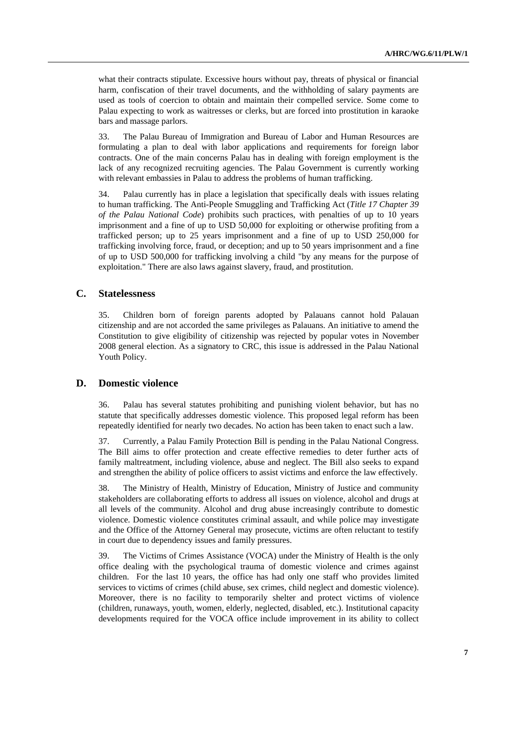what their contracts stipulate. Excessive hours without pay, threats of physical or financial harm, confiscation of their travel documents, and the withholding of salary payments are used as tools of coercion to obtain and maintain their compelled service. Some come to Palau expecting to work as waitresses or clerks, but are forced into prostitution in karaoke bars and massage parlors.

33. The Palau Bureau of Immigration and Bureau of Labor and Human Resources are formulating a plan to deal with labor applications and requirements for foreign labor contracts. One of the main concerns Palau has in dealing with foreign employment is the lack of any recognized recruiting agencies. The Palau Government is currently working with relevant embassies in Palau to address the problems of human trafficking.

34. Palau currently has in place a legislation that specifically deals with issues relating to human trafficking. The Anti-People Smuggling and Trafficking Act (*Title 17 Chapter 39 of the Palau National Code*) prohibits such practices, with penalties of up to 10 years imprisonment and a fine of up to USD 50,000 for exploiting or otherwise profiting from a trafficked person; up to 25 years imprisonment and a fine of up to USD 250,000 for trafficking involving force, fraud, or deception; and up to 50 years imprisonment and a fine of up to USD 500,000 for trafficking involving a child "by any means for the purpose of exploitation." There are also laws against slavery, fraud, and prostitution.

#### **C. Statelessness**

35. Children born of foreign parents adopted by Palauans cannot hold Palauan citizenship and are not accorded the same privileges as Palauans. An initiative to amend the Constitution to give eligibility of citizenship was rejected by popular votes in November 2008 general election. As a signatory to CRC, this issue is addressed in the Palau National Youth Policy.

#### **D. Domestic violence**

36. Palau has several statutes prohibiting and punishing violent behavior, but has no statute that specifically addresses domestic violence. This proposed legal reform has been repeatedly identified for nearly two decades. No action has been taken to enact such a law.

37. Currently, a Palau Family Protection Bill is pending in the Palau National Congress. The Bill aims to offer protection and create effective remedies to deter further acts of family maltreatment, including violence, abuse and neglect. The Bill also seeks to expand and strengthen the ability of police officers to assist victims and enforce the law effectively.

38. The Ministry of Health, Ministry of Education, Ministry of Justice and community stakeholders are collaborating efforts to address all issues on violence, alcohol and drugs at all levels of the community. Alcohol and drug abuse increasingly contribute to domestic violence. Domestic violence constitutes criminal assault, and while police may investigate and the Office of the Attorney General may prosecute, victims are often reluctant to testify in court due to dependency issues and family pressures.

39. The Victims of Crimes Assistance (VOCA) under the Ministry of Health is the only office dealing with the psychological trauma of domestic violence and crimes against children. For the last 10 years, the office has had only one staff who provides limited services to victims of crimes (child abuse, sex crimes, child neglect and domestic violence). Moreover, there is no facility to temporarily shelter and protect victims of violence (children, runaways, youth, women, elderly, neglected, disabled, etc.). Institutional capacity developments required for the VOCA office include improvement in its ability to collect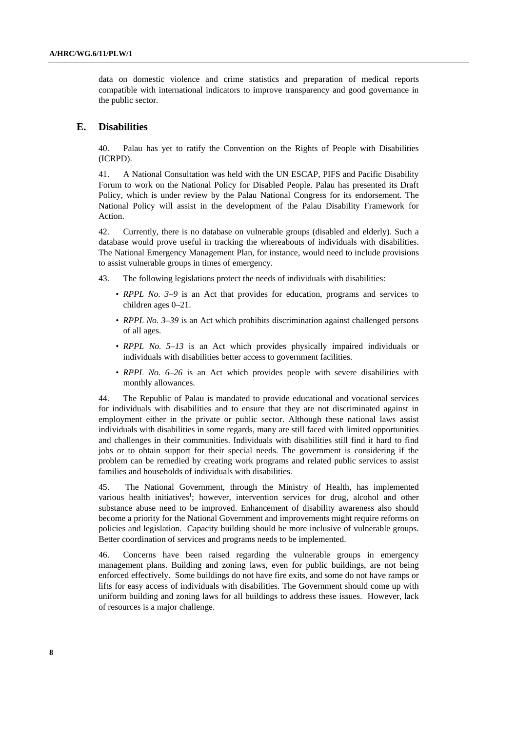data on domestic violence and crime statistics and preparation of medical reports compatible with international indicators to improve transparency and good governance in the public sector.

#### **E. Disabilities**

40. Palau has yet to ratify the Convention on the Rights of People with Disabilities (ICRPD).

41. A National Consultation was held with the UN ESCAP, PIFS and Pacific Disability Forum to work on the National Policy for Disabled People. Palau has presented its Draft Policy, which is under review by the Palau National Congress for its endorsement. The National Policy will assist in the development of the Palau Disability Framework for Action.

42. Currently, there is no database on vulnerable groups (disabled and elderly). Such a database would prove useful in tracking the whereabouts of individuals with disabilities. The National Emergency Management Plan, for instance, would need to include provisions to assist vulnerable groups in times of emergency.

- 43. The following legislations protect the needs of individuals with disabilities:
	- *RPPL No. 3–9* is an Act that provides for education, programs and services to children ages 0*–*21.
	- *RPPL No. 3–39* is an Act which prohibits discrimination against challenged persons of all ages.
	- *RPPL No. 5–13* is an Act which provides physically impaired individuals or individuals with disabilities better access to government facilities.
	- *RPPL No.* 6–26 is an Act which provides people with severe disabilities with monthly allowances.

44. The Republic of Palau is mandated to provide educational and vocational services for individuals with disabilities and to ensure that they are not discriminated against in employment either in the private or public sector. Although these national laws assist individuals with disabilities in some regards, many are still faced with limited opportunities and challenges in their communities. Individuals with disabilities still find it hard to find jobs or to obtain support for their special needs. The government is considering if the problem can be remedied by creating work programs and related public services to assist families and households of individuals with disabilities.

45. The National Government, through the Ministry of Health, has implemented various health initiatives<sup>1</sup>; however, intervention services for drug, alcohol and other substance abuse need to be improved. Enhancement of disability awareness also should become a priority for the National Government and improvements might require reforms on policies and legislation. Capacity building should be more inclusive of vulnerable groups. Better coordination of services and programs needs to be implemented.

46. Concerns have been raised regarding the vulnerable groups in emergency management plans. Building and zoning laws, even for public buildings, are not being enforced effectively. Some buildings do not have fire exits, and some do not have ramps or lifts for easy access of individuals with disabilities. The Government should come up with uniform building and zoning laws for all buildings to address these issues. However, lack of resources is a major challenge.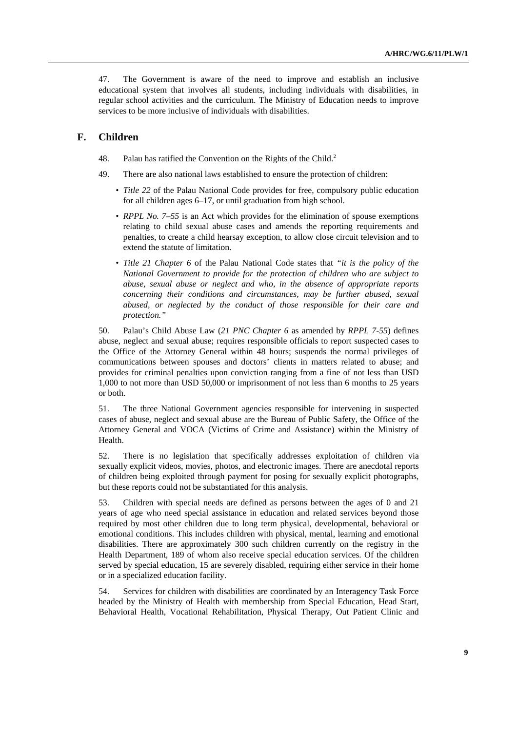47. The Government is aware of the need to improve and establish an inclusive educational system that involves all students, including individuals with disabilities, in regular school activities and the curriculum. The Ministry of Education needs to improve services to be more inclusive of individuals with disabilities.

#### **F. Children**

- 48. Palau has ratified the Convention on the Rights of the Child.<sup>2</sup>
- 49. There are also national laws established to ensure the protection of children:
	- *Title 22* of the Palau National Code provides for free, compulsory public education for all children ages 6–17, or until graduation from high school.
	- *RPPL No. 7–55* is an Act which provides for the elimination of spouse exemptions relating to child sexual abuse cases and amends the reporting requirements and penalties, to create a child hearsay exception, to allow close circuit television and to extend the statute of limitation.
	- *Title 21 Chapter 6* of the Palau National Code states that *"it is the policy of the National Government to provide for the protection of children who are subject to abuse, sexual abuse or neglect and who, in the absence of appropriate reports concerning their conditions and circumstances, may be further abused, sexual abused, or neglected by the conduct of those responsible for their care and protection."*

50. Palau's Child Abuse Law (*21 PNC Chapter 6* as amended by *RPPL 7-55*) defines abuse, neglect and sexual abuse; requires responsible officials to report suspected cases to the Office of the Attorney General within 48 hours; suspends the normal privileges of communications between spouses and doctors' clients in matters related to abuse; and provides for criminal penalties upon conviction ranging from a fine of not less than USD 1,000 to not more than USD 50,000 or imprisonment of not less than 6 months to 25 years or both.

51. The three National Government agencies responsible for intervening in suspected cases of abuse, neglect and sexual abuse are the Bureau of Public Safety, the Office of the Attorney General and VOCA (Victims of Crime and Assistance) within the Ministry of Health.

52. There is no legislation that specifically addresses exploitation of children via sexually explicit videos, movies, photos, and electronic images. There are anecdotal reports of children being exploited through payment for posing for sexually explicit photographs, but these reports could not be substantiated for this analysis.

53. Children with special needs are defined as persons between the ages of 0 and 21 years of age who need special assistance in education and related services beyond those required by most other children due to long term physical, developmental, behavioral or emotional conditions. This includes children with physical, mental, learning and emotional disabilities. There are approximately 300 such children currently on the registry in the Health Department, 189 of whom also receive special education services. Of the children served by special education, 15 are severely disabled, requiring either service in their home or in a specialized education facility.

54. Services for children with disabilities are coordinated by an Interagency Task Force headed by the Ministry of Health with membership from Special Education, Head Start, Behavioral Health, Vocational Rehabilitation, Physical Therapy, Out Patient Clinic and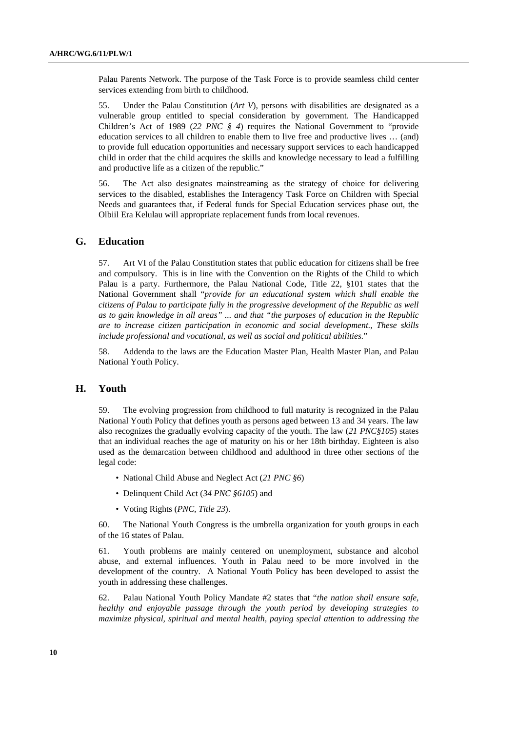Palau Parents Network. The purpose of the Task Force is to provide seamless child center services extending from birth to childhood.

55. Under the Palau Constitution (*Art V*), persons with disabilities are designated as a vulnerable group entitled to special consideration by government. The Handicapped Children's Act of 1989 (*22 PNC § 4*) requires the National Government to "provide education services to all children to enable them to live free and productive lives … (and) to provide full education opportunities and necessary support services to each handicapped child in order that the child acquires the skills and knowledge necessary to lead a fulfilling and productive life as a citizen of the republic."

56. The Act also designates mainstreaming as the strategy of choice for delivering services to the disabled, establishes the Interagency Task Force on Children with Special Needs and guarantees that, if Federal funds for Special Education services phase out, the Olbiil Era Kelulau will appropriate replacement funds from local revenues.

#### **G. Education**

57. Art VI of the Palau Constitution states that public education for citizens shall be free and compulsory. This is in line with the Convention on the Rights of the Child to which Palau is a party. Furthermore, the Palau National Code, Title 22, §101 states that the National Government shall "*provide for an educational system which shall enable the citizens of Palau to participate fully in the progressive development of the Republic as well as to gain knowledge in all areas" ... and that "the purposes of education in the Republic are to increase citizen participation in economic and social development., These skills include professional and vocational, as well as social and political abilities.*"

58. Addenda to the laws are the Education Master Plan, Health Master Plan, and Palau National Youth Policy.

#### **H. Youth**

59. The evolving progression from childhood to full maturity is recognized in the Palau National Youth Policy that defines youth as persons aged between 13 and 34 years. The law also recognizes the gradually evolving capacity of the youth. The law (*21 PNC§105*) states that an individual reaches the age of maturity on his or her 18th birthday. Eighteen is also used as the demarcation between childhood and adulthood in three other sections of the legal code:

- National Child Abuse and Neglect Act (*21 PNC §6*)
- Delinquent Child Act (*34 PNC §6105*) and
- Voting Rights (*PNC, Title 23*).

60. The National Youth Congress is the umbrella organization for youth groups in each of the 16 states of Palau.

61. Youth problems are mainly centered on unemployment, substance and alcohol abuse, and external influences. Youth in Palau need to be more involved in the development of the country. A National Youth Policy has been developed to assist the youth in addressing these challenges.

62. Palau National Youth Policy Mandate #2 states that "*the nation shall ensure safe, healthy and enjoyable passage through the youth period by developing strategies to maximize physical, spiritual and mental health, paying special attention to addressing the*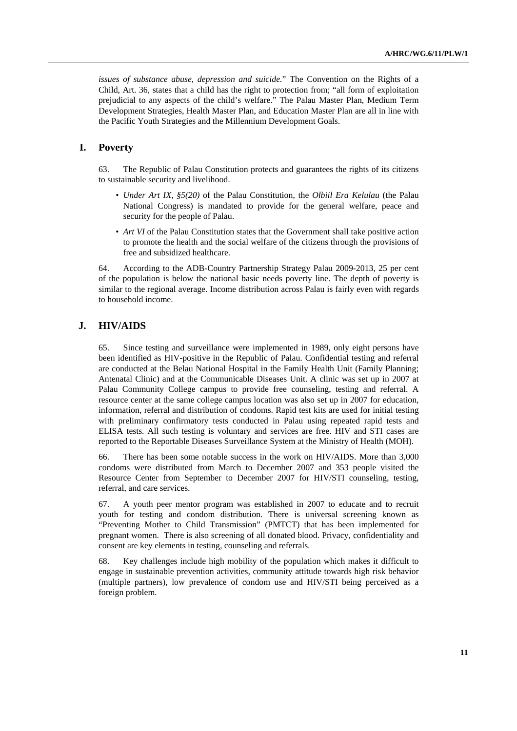*issues of substance abuse, depression and suicide.*" The Convention on the Rights of a Child, Art. 36, states that a child has the right to protection from; "all form of exploitation prejudicial to any aspects of the child's welfare." The Palau Master Plan, Medium Term Development Strategies, Health Master Plan, and Education Master Plan are all in line with the Pacific Youth Strategies and the Millennium Development Goals.

# **I. Poverty**

63. The Republic of Palau Constitution protects and guarantees the rights of its citizens to sustainable security and livelihood.

- *Under Art IX, §5(20)* of the Palau Constitution, the *Olbiil Era Kelulau* (the Palau National Congress) is mandated to provide for the general welfare, peace and security for the people of Palau.
- *Art VI* of the Palau Constitution states that the Government shall take positive action to promote the health and the social welfare of the citizens through the provisions of free and subsidized healthcare.

64. According to the ADB-Country Partnership Strategy Palau 2009-2013, 25 per cent of the population is below the national basic needs poverty line. The depth of poverty is similar to the regional average. Income distribution across Palau is fairly even with regards to household income.

#### **J. HIV/AIDS**

65. Since testing and surveillance were implemented in 1989, only eight persons have been identified as HIV-positive in the Republic of Palau. Confidential testing and referral are conducted at the Belau National Hospital in the Family Health Unit (Family Planning; Antenatal Clinic) and at the Communicable Diseases Unit. A clinic was set up in 2007 at Palau Community College campus to provide free counseling, testing and referral. A resource center at the same college campus location was also set up in 2007 for education, information, referral and distribution of condoms. Rapid test kits are used for initial testing with preliminary confirmatory tests conducted in Palau using repeated rapid tests and ELISA tests. All such testing is voluntary and services are free. HIV and STI cases are reported to the Reportable Diseases Surveillance System at the Ministry of Health (MOH).

66. There has been some notable success in the work on HIV/AIDS. More than 3,000 condoms were distributed from March to December 2007 and 353 people visited the Resource Center from September to December 2007 for HIV/STI counseling, testing, referral, and care services.

67. A youth peer mentor program was established in 2007 to educate and to recruit youth for testing and condom distribution. There is universal screening known as "Preventing Mother to Child Transmission" (PMTCT) that has been implemented for pregnant women. There is also screening of all donated blood. Privacy, confidentiality and consent are key elements in testing, counseling and referrals.

68. Key challenges include high mobility of the population which makes it difficult to engage in sustainable prevention activities, community attitude towards high risk behavior (multiple partners), low prevalence of condom use and HIV/STI being perceived as a foreign problem.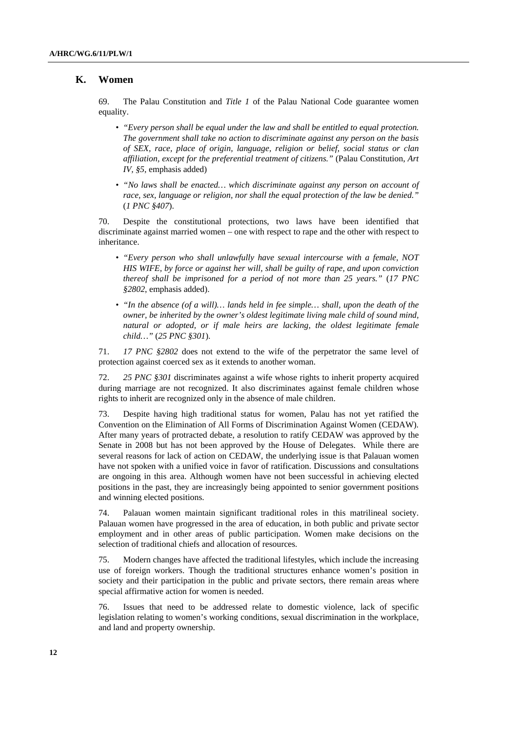#### **K. Women**

69. The Palau Constitution and *Title 1* of the Palau National Code guarantee women equality.

- *"Every person shall be equal under the law and shall be entitled to equal protection. The government shall take no action to discriminate against any person on the basis of SEX, race, place of origin, language, religion or belief, social status or clan affiliation, except for the preferential treatment of citizens."* (Palau Constitution, *Art IV, §5*, emphasis added)
- *"No laws shall be enacted… which discriminate against any person on account of race, sex, language or religion, nor shall the equal protection of the law be denied."* (*1 PNC §407*).

70. Despite the constitutional protections, two laws have been identified that discriminate against married women – one with respect to rape and the other with respect to inheritance.

- *"Every person who shall unlawfully have sexual intercourse with a female, NOT HIS WIFE, by force or against her will, shall be guilty of rape, and upon conviction thereof shall be imprisoned for a period of not more than 25 years."* (*17 PNC §2802*, emphasis added).
- *"In the absence (of a will)… lands held in fee simple… shall, upon the death of the owner, be inherited by the owner's oldest legitimate living male child of sound mind, natural or adopted, or if male heirs are lacking, the oldest legitimate female child…"* (*25 PNC §301*).

71. *17 PNC §2802* does not extend to the wife of the perpetrator the same level of protection against coerced sex as it extends to another woman.

72. *25 PNC §301* discriminates against a wife whose rights to inherit property acquired during marriage are not recognized. It also discriminates against female children whose rights to inherit are recognized only in the absence of male children.

73. Despite having high traditional status for women, Palau has not yet ratified the Convention on the Elimination of All Forms of Discrimination Against Women (CEDAW). After many years of protracted debate, a resolution to ratify CEDAW was approved by the Senate in 2008 but has not been approved by the House of Delegates. While there are several reasons for lack of action on CEDAW, the underlying issue is that Palauan women have not spoken with a unified voice in favor of ratification. Discussions and consultations are ongoing in this area. Although women have not been successful in achieving elected positions in the past, they are increasingly being appointed to senior government positions and winning elected positions.

74. Palauan women maintain significant traditional roles in this matrilineal society. Palauan women have progressed in the area of education, in both public and private sector employment and in other areas of public participation. Women make decisions on the selection of traditional chiefs and allocation of resources.

75. Modern changes have affected the traditional lifestyles, which include the increasing use of foreign workers. Though the traditional structures enhance women's position in society and their participation in the public and private sectors, there remain areas where special affirmative action for women is needed.

76. Issues that need to be addressed relate to domestic violence, lack of specific legislation relating to women's working conditions, sexual discrimination in the workplace, and land and property ownership.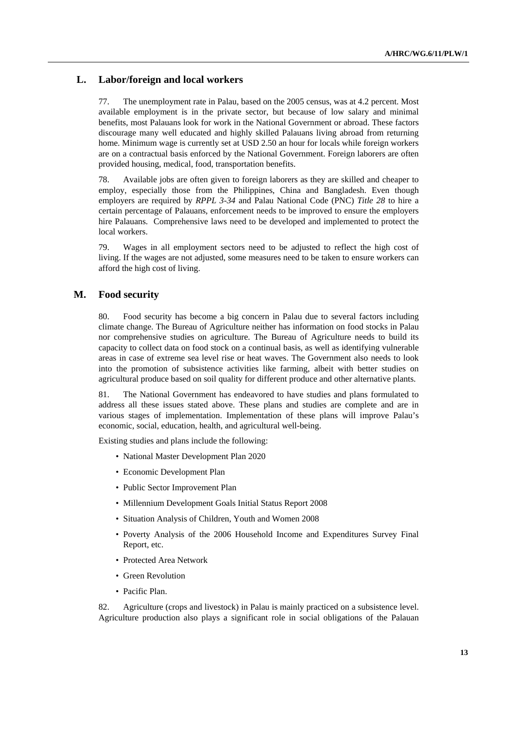### **L. Labor/foreign and local workers**

77. The unemployment rate in Palau, based on the 2005 census, was at 4.2 percent. Most available employment is in the private sector, but because of low salary and minimal benefits, most Palauans look for work in the National Government or abroad. These factors discourage many well educated and highly skilled Palauans living abroad from returning home. Minimum wage is currently set at USD 2.50 an hour for locals while foreign workers are on a contractual basis enforced by the National Government. Foreign laborers are often provided housing, medical, food, transportation benefits.

78. Available jobs are often given to foreign laborers as they are skilled and cheaper to employ, especially those from the Philippines, China and Bangladesh. Even though employers are required by *RPPL 3-34* and Palau National Code (PNC) *Title 28* to hire a certain percentage of Palauans, enforcement needs to be improved to ensure the employers hire Palauans. Comprehensive laws need to be developed and implemented to protect the local workers.

79. Wages in all employment sectors need to be adjusted to reflect the high cost of living. If the wages are not adjusted, some measures need to be taken to ensure workers can afford the high cost of living.

#### **M. Food security**

80. Food security has become a big concern in Palau due to several factors including climate change. The Bureau of Agriculture neither has information on food stocks in Palau nor comprehensive studies on agriculture. The Bureau of Agriculture needs to build its capacity to collect data on food stock on a continual basis, as well as identifying vulnerable areas in case of extreme sea level rise or heat waves. The Government also needs to look into the promotion of subsistence activities like farming, albeit with better studies on agricultural produce based on soil quality for different produce and other alternative plants.

81. The National Government has endeavored to have studies and plans formulated to address all these issues stated above. These plans and studies are complete and are in various stages of implementation. Implementation of these plans will improve Palau's economic, social, education, health, and agricultural well-being.

Existing studies and plans include the following:

- National Master Development Plan 2020
- Economic Development Plan
- Public Sector Improvement Plan
- Millennium Development Goals Initial Status Report 2008
- Situation Analysis of Children, Youth and Women 2008
- Poverty Analysis of the 2006 Household Income and Expenditures Survey Final Report, etc.
- Protected Area Network
- Green Revolution
- Pacific Plan.

82. Agriculture (crops and livestock) in Palau is mainly practiced on a subsistence level. Agriculture production also plays a significant role in social obligations of the Palauan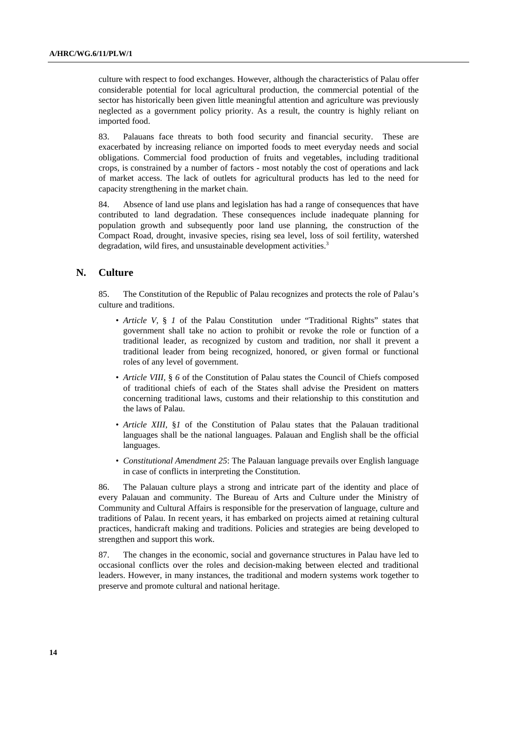culture with respect to food exchanges. However, although the characteristics of Palau offer considerable potential for local agricultural production, the commercial potential of the sector has historically been given little meaningful attention and agriculture was previously neglected as a government policy priority. As a result, the country is highly reliant on imported food.

83. Palauans face threats to both food security and financial security. These are exacerbated by increasing reliance on imported foods to meet everyday needs and social obligations. Commercial food production of fruits and vegetables, including traditional crops, is constrained by a number of factors - most notably the cost of operations and lack of market access. The lack of outlets for agricultural products has led to the need for capacity strengthening in the market chain.

84. Absence of land use plans and legislation has had a range of consequences that have contributed to land degradation. These consequences include inadequate planning for population growth and subsequently poor land use planning, the construction of the Compact Road, drought, invasive species, rising sea level, loss of soil fertility, watershed degradation, wild fires, and unsustainable development activities.<sup>3</sup>

### **N. Culture**

85. The Constitution of the Republic of Palau recognizes and protects the role of Palau's culture and traditions.

- *Article V,* § *1* of the Palau Constitution under "Traditional Rights" states that government shall take no action to prohibit or revoke the role or function of a traditional leader, as recognized by custom and tradition, nor shall it prevent a traditional leader from being recognized, honored, or given formal or functional roles of any level of government.
- *Article VIII,* § 6 of the Constitution of Palau states the Council of Chiefs composed of traditional chiefs of each of the States shall advise the President on matters concerning traditional laws, customs and their relationship to this constitution and the laws of Palau.
- *Article XIII,* §*1* of the Constitution of Palau states that the Palauan traditional languages shall be the national languages. Palauan and English shall be the official languages.
- *Constitutional Amendment 25*: The Palauan language prevails over English language in case of conflicts in interpreting the Constitution.

86. The Palauan culture plays a strong and intricate part of the identity and place of every Palauan and community. The Bureau of Arts and Culture under the Ministry of Community and Cultural Affairs is responsible for the preservation of language, culture and traditions of Palau. In recent years, it has embarked on projects aimed at retaining cultural practices, handicraft making and traditions. Policies and strategies are being developed to strengthen and support this work.

87. The changes in the economic, social and governance structures in Palau have led to occasional conflicts over the roles and decision-making between elected and traditional leaders. However, in many instances, the traditional and modern systems work together to preserve and promote cultural and national heritage.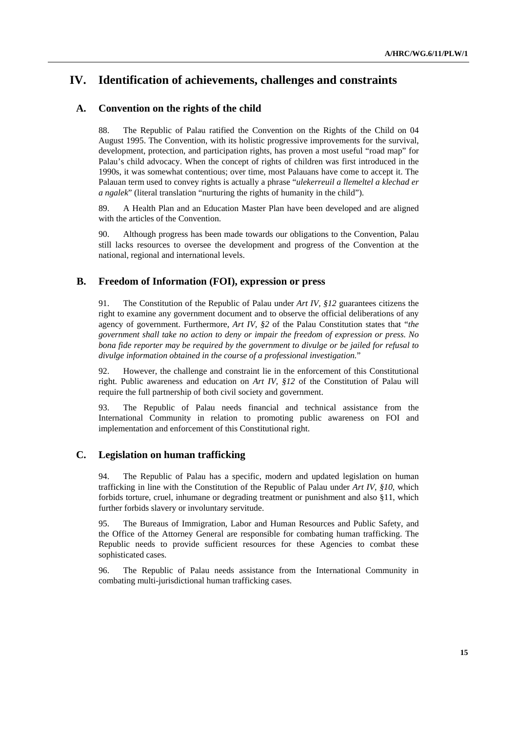# **IV. Identification of achievements, challenges and constraints**

## **A. Convention on the rights of the child**

88. The Republic of Palau ratified the Convention on the Rights of the Child on 04 August 1995. The Convention, with its holistic progressive improvements for the survival, development, protection, and participation rights, has proven a most useful "road map" for Palau's child advocacy. When the concept of rights of children was first introduced in the 1990s, it was somewhat contentious; over time, most Palauans have come to accept it. The Palauan term used to convey rights is actually a phrase "*ulekerreuil a llemeltel a klechad er a ngalek*" (literal translation "nurturing the rights of humanity in the child").

89. A Health Plan and an Education Master Plan have been developed and are aligned with the articles of the Convention.

90. Although progress has been made towards our obligations to the Convention, Palau still lacks resources to oversee the development and progress of the Convention at the national, regional and international levels.

### **B. Freedom of Information (FOI), expression or press**

91. The Constitution of the Republic of Palau under *Art IV, §12* guarantees citizens the right to examine any government document and to observe the official deliberations of any agency of government. Furthermore, *Art IV, §2* of the Palau Constitution states that "*the government shall take no action to deny or impair the freedom of expression or press. No bona fide reporter may be required by the government to divulge or be jailed for refusal to divulge information obtained in the course of a professional investigation.*"

92. However, the challenge and constraint lie in the enforcement of this Constitutional right. Public awareness and education on *Art IV, §12* of the Constitution of Palau will require the full partnership of both civil society and government.

93. The Republic of Palau needs financial and technical assistance from the International Community in relation to promoting public awareness on FOI and implementation and enforcement of this Constitutional right.

### **C. Legislation on human trafficking**

94. The Republic of Palau has a specific, modern and updated legislation on human trafficking in line with the Constitution of the Republic of Palau under *Art IV, §10*, which forbids torture, cruel, inhumane or degrading treatment or punishment and also §11, which further forbids slavery or involuntary servitude.

95. The Bureaus of Immigration, Labor and Human Resources and Public Safety, and the Office of the Attorney General are responsible for combating human trafficking. The Republic needs to provide sufficient resources for these Agencies to combat these sophisticated cases.

96. The Republic of Palau needs assistance from the International Community in combating multi-jurisdictional human trafficking cases.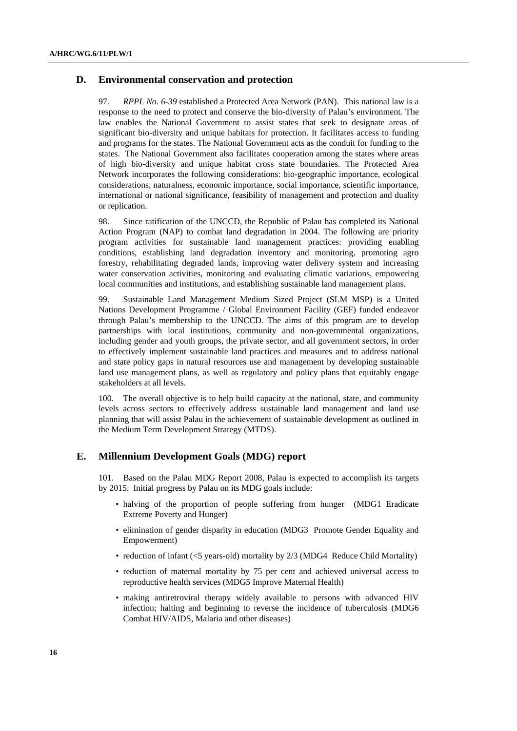#### **D. Environmental conservation and protection**

97. *RPPL No. 6-39* established a Protected Area Network (PAN). This national law is a response to the need to protect and conserve the bio-diversity of Palau's environment. The law enables the National Government to assist states that seek to designate areas of significant bio-diversity and unique habitats for protection. It facilitates access to funding and programs for the states. The National Government acts as the conduit for funding to the states. The National Government also facilitates cooperation among the states where areas of high bio-diversity and unique habitat cross state boundaries. The Protected Area Network incorporates the following considerations: bio-geographic importance, ecological considerations, naturalness, economic importance, social importance, scientific importance, international or national significance, feasibility of management and protection and duality or replication.

98. Since ratification of the UNCCD, the Republic of Palau has completed its National Action Program (NAP) to combat land degradation in 2004. The following are priority program activities for sustainable land management practices: providing enabling conditions, establishing land degradation inventory and monitoring, promoting agro forestry, rehabilitating degraded lands, improving water delivery system and increasing water conservation activities, monitoring and evaluating climatic variations, empowering local communities and institutions, and establishing sustainable land management plans.

99. Sustainable Land Management Medium Sized Project (SLM MSP) is a United Nations Development Programme / Global Environment Facility (GEF) funded endeavor through Palau's membership to the UNCCD. The aims of this program are to develop partnerships with local institutions, community and non-governmental organizations, including gender and youth groups, the private sector, and all government sectors, in order to effectively implement sustainable land practices and measures and to address national and state policy gaps in natural resources use and management by developing sustainable land use management plans, as well as regulatory and policy plans that equitably engage stakeholders at all levels.

100. The overall objective is to help build capacity at the national, state, and community levels across sectors to effectively address sustainable land management and land use planning that will assist Palau in the achievement of sustainable development as outlined in the Medium Term Development Strategy (MTDS).

#### **E. Millennium Development Goals (MDG) report**

101. Based on the Palau MDG Report 2008, Palau is expected to accomplish its targets by 2015. Initial progress by Palau on its MDG goals include:

- halving of the proportion of people suffering from hunger (MDG1 Eradicate Extreme Poverty and Hunger)
- elimination of gender disparity in education (MDG3 Promote Gender Equality and Empowerment)
- reduction of infant (<5 years-old) mortality by 2/3 (MDG4 Reduce Child Mortality)
- reduction of maternal mortality by 75 per cent and achieved universal access to reproductive health services (MDG5 Improve Maternal Health)
- making antiretroviral therapy widely available to persons with advanced HIV infection; halting and beginning to reverse the incidence of tuberculosis (MDG6 Combat HIV/AIDS, Malaria and other diseases)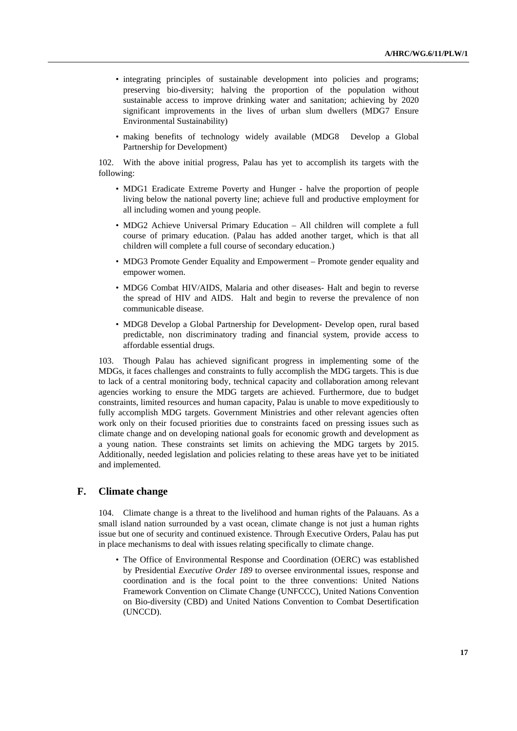- integrating principles of sustainable development into policies and programs; preserving bio-diversity; halving the proportion of the population without sustainable access to improve drinking water and sanitation; achieving by 2020 significant improvements in the lives of urban slum dwellers (MDG7 Ensure Environmental Sustainability)
- making benefits of technology widely available (MDG8 Develop a Global Partnership for Development)

102. With the above initial progress, Palau has yet to accomplish its targets with the following:

- MDG1 Eradicate Extreme Poverty and Hunger halve the proportion of people living below the national poverty line; achieve full and productive employment for all including women and young people.
- MDG2 Achieve Universal Primary Education All children will complete a full course of primary education. (Palau has added another target, which is that all children will complete a full course of secondary education.)
- MDG3 Promote Gender Equality and Empowerment Promote gender equality and empower women.
- MDG6 Combat HIV/AIDS, Malaria and other diseases- Halt and begin to reverse the spread of HIV and AIDS. Halt and begin to reverse the prevalence of non communicable disease.
- MDG8 Develop a Global Partnership for Development- Develop open, rural based predictable, non discriminatory trading and financial system, provide access to affordable essential drugs.

103. Though Palau has achieved significant progress in implementing some of the MDGs, it faces challenges and constraints to fully accomplish the MDG targets. This is due to lack of a central monitoring body, technical capacity and collaboration among relevant agencies working to ensure the MDG targets are achieved. Furthermore, due to budget constraints, limited resources and human capacity, Palau is unable to move expeditiously to fully accomplish MDG targets. Government Ministries and other relevant agencies often work only on their focused priorities due to constraints faced on pressing issues such as climate change and on developing national goals for economic growth and development as a young nation. These constraints set limits on achieving the MDG targets by 2015. Additionally, needed legislation and policies relating to these areas have yet to be initiated and implemented.

# **F. Climate change**

104. Climate change is a threat to the livelihood and human rights of the Palauans. As a small island nation surrounded by a vast ocean, climate change is not just a human rights issue but one of security and continued existence. Through Executive Orders, Palau has put in place mechanisms to deal with issues relating specifically to climate change.

• The Office of Environmental Response and Coordination (OERC) was established by Presidential *Executive Order 189* to oversee environmental issues, response and coordination and is the focal point to the three conventions: United Nations Framework Convention on Climate Change (UNFCCC), United Nations Convention on Bio-diversity (CBD) and United Nations Convention to Combat Desertification (UNCCD).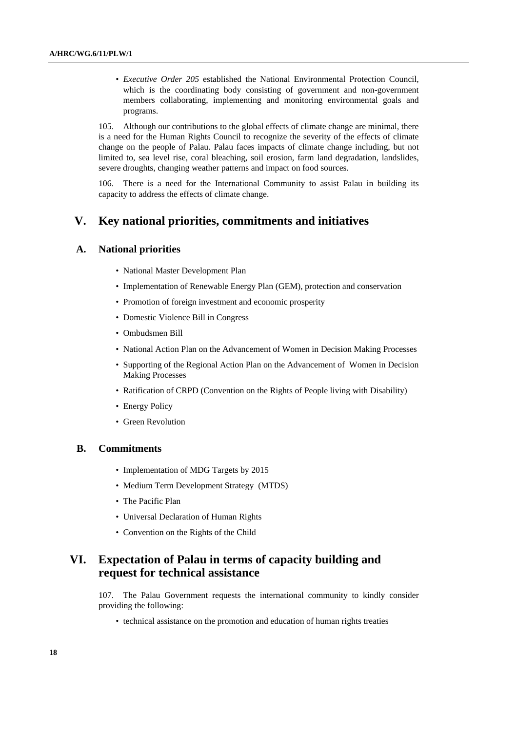• *Executive Order 205* established the National Environmental Protection Council, which is the coordinating body consisting of government and non-government members collaborating, implementing and monitoring environmental goals and programs.

105. Although our contributions to the global effects of climate change are minimal, there is a need for the Human Rights Council to recognize the severity of the effects of climate change on the people of Palau. Palau faces impacts of climate change including, but not limited to, sea level rise, coral bleaching, soil erosion, farm land degradation, landslides, severe droughts, changing weather patterns and impact on food sources.

106. There is a need for the International Community to assist Palau in building its capacity to address the effects of climate change.

# **V. Key national priorities, commitments and initiatives**

#### **A. National priorities**

- National Master Development Plan
- Implementation of Renewable Energy Plan (GEM), protection and conservation
- Promotion of foreign investment and economic prosperity
- Domestic Violence Bill in Congress
- Ombudsmen Bill
- National Action Plan on the Advancement of Women in Decision Making Processes
- Supporting of the Regional Action Plan on the Advancement of Women in Decision Making Processes
- Ratification of CRPD (Convention on the Rights of People living with Disability)
- Energy Policy
- Green Revolution

### **B. Commitments**

- Implementation of MDG Targets by 2015
- Medium Term Development Strategy (MTDS)
- The Pacific Plan
- Universal Declaration of Human Rights
- Convention on the Rights of the Child

# **VI. Expectation of Palau in terms of capacity building and request for technical assistance**

107. The Palau Government requests the international community to kindly consider providing the following:

• technical assistance on the promotion and education of human rights treaties